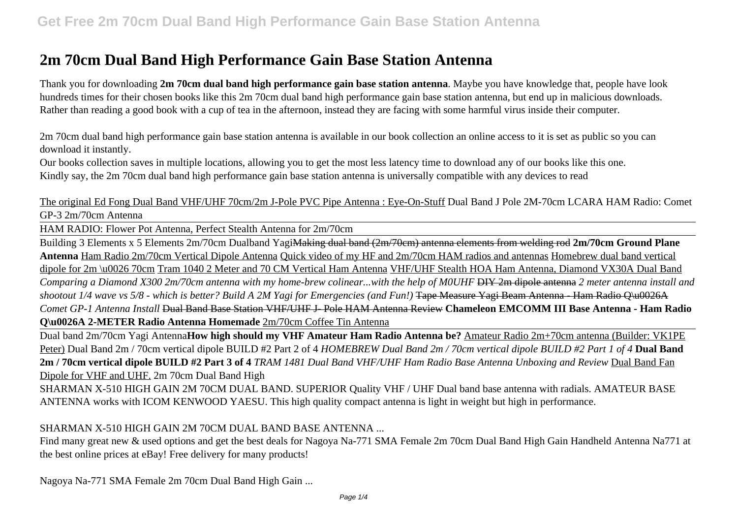# **2m 70cm Dual Band High Performance Gain Base Station Antenna**

Thank you for downloading **2m 70cm dual band high performance gain base station antenna**. Maybe you have knowledge that, people have look hundreds times for their chosen books like this 2m 70cm dual band high performance gain base station antenna, but end up in malicious downloads. Rather than reading a good book with a cup of tea in the afternoon, instead they are facing with some harmful virus inside their computer.

2m 70cm dual band high performance gain base station antenna is available in our book collection an online access to it is set as public so you can download it instantly.

Our books collection saves in multiple locations, allowing you to get the most less latency time to download any of our books like this one. Kindly say, the 2m 70cm dual band high performance gain base station antenna is universally compatible with any devices to read

The original Ed Fong Dual Band VHF/UHF 70cm/2m J-Pole PVC Pipe Antenna : Eye-On-Stuff Dual Band J Pole 2M-70cm LCARA HAM Radio: Comet GP-3 2m/70cm Antenna

HAM RADIO: Flower Pot Antenna, Perfect Stealth Antenna for 2m/70cm

Building 3 Elements x 5 Elements 2m/70cm Dualband YagiMaking dual band (2m/70cm) antenna elements from welding rod **2m/70cm Ground Plane Antenna** Ham Radio 2m/70cm Vertical Dipole Antenna Quick video of my HF and 2m/70cm HAM radios and antennas Homebrew dual band vertical dipole for 2m \u0026 70cm Tram 1040 2 Meter and 70 CM Vertical Ham Antenna VHF/UHF Stealth HOA Ham Antenna, Diamond VX30A Dual Band *Comparing a Diamond X300 2m/70cm antenna with my home-brew colinear...with the help of M0UHF* DIY 2m dipole antenna *2 meter antenna install and shootout 1/4 wave vs 5/8 - which is better? Build A 2M Yagi for Emergencies (and Fun!)* Tape Measure Yagi Beam Antenna - Ham Radio Q\u0026A *Comet GP-1 Antenna Install* Dual Band Base Station VHF/UHF J- Pole HAM Antenna Review **Chameleon EMCOMM III Base Antenna - Ham Radio Q\u0026A 2-METER Radio Antenna Homemade** 2m/70cm Coffee Tin Antenna

Dual band 2m/70cm Yagi Antenna**How high should my VHF Amateur Ham Radio Antenna be?** Amateur Radio 2m+70cm antenna (Builder: VK1PE Peter) Dual Band 2m / 70cm vertical dipole BUILD #2 Part 2 of 4 *HOMEBREW Dual Band 2m / 70cm vertical dipole BUILD #2 Part 1 of 4* **Dual Band 2m / 70cm vertical dipole BUILD #2 Part 3 of 4** *TRAM 1481 Dual Band VHF/UHF Ham Radio Base Antenna Unboxing and Review* Dual Band Fan Dipole for VHF and UHF. 2m 70cm Dual Band High

SHARMAN X-510 HIGH GAIN 2M 70CM DUAL BAND. SUPERIOR Quality VHF / UHF Dual band base antenna with radials. AMATEUR BASE ANTENNA works with ICOM KENWOOD YAESU. This high quality compact antenna is light in weight but high in performance.

#### SHARMAN X-510 HIGH GAIN 2M 70CM DUAL BAND BASE ANTENNA ...

Find many great new & used options and get the best deals for Nagoya Na-771 SMA Female 2m 70cm Dual Band High Gain Handheld Antenna Na771 at the best online prices at eBay! Free delivery for many products!

Nagoya Na-771 SMA Female 2m 70cm Dual Band High Gain ...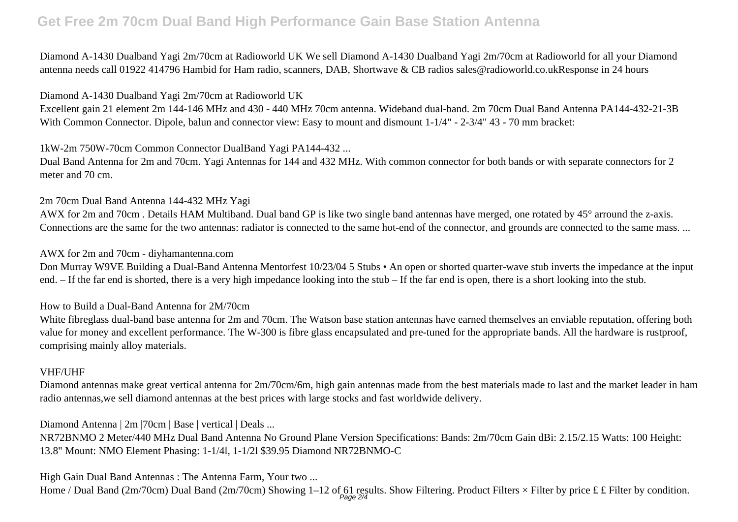### **Get Free 2m 70cm Dual Band High Performance Gain Base Station Antenna**

Diamond A-1430 Dualband Yagi 2m/70cm at Radioworld UK We sell Diamond A-1430 Dualband Yagi 2m/70cm at Radioworld for all your Diamond antenna needs call 01922 414796 Hambid for Ham radio, scanners, DAB, Shortwave & CB radios sales@radioworld.co.ukResponse in 24 hours

#### Diamond A-1430 Dualband Yagi 2m/70cm at Radioworld UK

Excellent gain 21 element 2m 144-146 MHz and 430 - 440 MHz 70cm antenna. Wideband dual-band. 2m 70cm Dual Band Antenna PA144-432-21-3B With Common Connector. Dipole, balun and connector view: Easy to mount and dismount  $1-1/4$ " - 2-3/4" 43 - 70 mm bracket:

1kW-2m 750W-70cm Common Connector DualBand Yagi PA144-432 ...

Dual Band Antenna for 2m and 70cm. Yagi Antennas for 144 and 432 MHz. With common connector for both bands or with separate connectors for 2 meter and 70 cm.

#### 2m 70cm Dual Band Antenna 144-432 MHz Yagi

AWX for 2m and 70cm . Details HAM Multiband. Dual band GP is like two single band antennas have merged, one rotated by 45° arround the z-axis. Connections are the same for the two antennas: radiator is connected to the same hot-end of the connector, and grounds are connected to the same mass. ...

#### AWX for 2m and 70cm - diyhamantenna.com

Don Murray W9VE Building a Dual-Band Antenna Mentorfest 10/23/04 5 Stubs • An open or shorted quarter-wave stub inverts the impedance at the input end. – If the far end is shorted, there is a very high impedance looking into the stub – If the far end is open, there is a short looking into the stub.

#### How to Build a Dual-Band Antenna for 2M/70cm

White fibreglass dual-band base antenna for 2m and 70cm. The Watson base station antennas have earned themselves an enviable reputation, offering both value for money and excellent performance. The W-300 is fibre glass encapsulated and pre-tuned for the appropriate bands. All the hardware is rustproof, comprising mainly alloy materials.

#### VHF/UHF

Diamond antennas make great vertical antenna for 2m/70cm/6m, high gain antennas made from the best materials made to last and the market leader in ham radio antennas,we sell diamond antennas at the best prices with large stocks and fast worldwide delivery.

Diamond Antenna | 2m |70cm | Base | vertical | Deals ...

NR72BNMO 2 Meter/440 MHz Dual Band Antenna No Ground Plane Version Specifications: Bands: 2m/70cm Gain dBi: 2.15/2.15 Watts: 100 Height: 13.8" Mount: NMO Element Phasing: 1-1/4l, 1-1/2l \$39.95 Diamond NR72BNMO-C

High Gain Dual Band Antennas : The Antenna Farm, Your two ...

Home / Dual Band (2m/70cm) Dual Band (2m/70cm) Showing 1–12 of 61 results. Show Filtering. Product Filters  $\times$  Filter by price £ £ Filter by condition.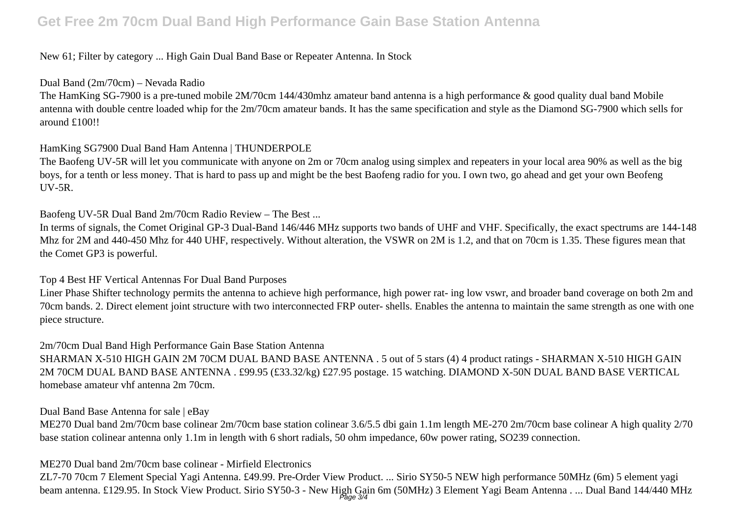### **Get Free 2m 70cm Dual Band High Performance Gain Base Station Antenna**

#### New 61; Filter by category ... High Gain Dual Band Base or Repeater Antenna. In Stock

#### Dual Band (2m/70cm) – Nevada Radio

The HamKing SG-7900 is a pre-tuned mobile 2M/70cm 144/430mhz amateur band antenna is a high performance & good quality dual band Mobile antenna with double centre loaded whip for the 2m/70cm amateur bands. It has the same specification and style as the Diamond SG-7900 which sells for around £100!!

#### HamKing SG7900 Dual Band Ham Antenna | THUNDERPOLE

The Baofeng UV-5R will let you communicate with anyone on 2m or 70cm analog using simplex and repeaters in your local area 90% as well as the big boys, for a tenth or less money. That is hard to pass up and might be the best Baofeng radio for you. I own two, go ahead and get your own Beofeng UV-5R.

Baofeng UV-5R Dual Band 2m/70cm Radio Review – The Best ...

In terms of signals, the Comet Original GP-3 Dual-Band 146/446 MHz supports two bands of UHF and VHF. Specifically, the exact spectrums are 144-148 Mhz for 2M and 440-450 Mhz for 440 UHF, respectively. Without alteration, the VSWR on 2M is 1.2, and that on 70cm is 1.35. These figures mean that the Comet GP3 is powerful.

#### Top 4 Best HF Vertical Antennas For Dual Band Purposes

Liner Phase Shifter technology permits the antenna to achieve high performance, high power rat- ing low vswr, and broader band coverage on both 2m and 70cm bands. 2. Direct element joint structure with two interconnected FRP outer- shells. Enables the antenna to maintain the same strength as one with one piece structure.

2m/70cm Dual Band High Performance Gain Base Station Antenna

SHARMAN X-510 HIGH GAIN 2M 70CM DUAL BAND BASE ANTENNA . 5 out of 5 stars (4) 4 product ratings - SHARMAN X-510 HIGH GAIN 2M 70CM DUAL BAND BASE ANTENNA . £99.95 (£33.32/kg) £27.95 postage. 15 watching. DIAMOND X-50N DUAL BAND BASE VERTICAL homebase amateur vhf antenna 2m 70cm.

#### Dual Band Base Antenna for sale | eBay

ME270 Dual band 2m/70cm base colinear 2m/70cm base station colinear 3.6/5.5 dbi gain 1.1m length ME-270 2m/70cm base colinear A high quality 2/70 base station colinear antenna only 1.1m in length with 6 short radials, 50 ohm impedance, 60w power rating, SO239 connection.

#### ME270 Dual band 2m/70cm base colinear - Mirfield Electronics

ZL7-70 70cm 7 Element Special Yagi Antenna. £49.99. Pre-Order View Product. ... Sirio SY50-5 NEW high performance 50MHz (6m) 5 element yagi beam antenna. £129.95. In Stock View Product. Sirio SY50-3 - New High Gain 6m (50MHz) 3 Element Yagi Beam Antenna . ... Dual Band 144/440 MHz